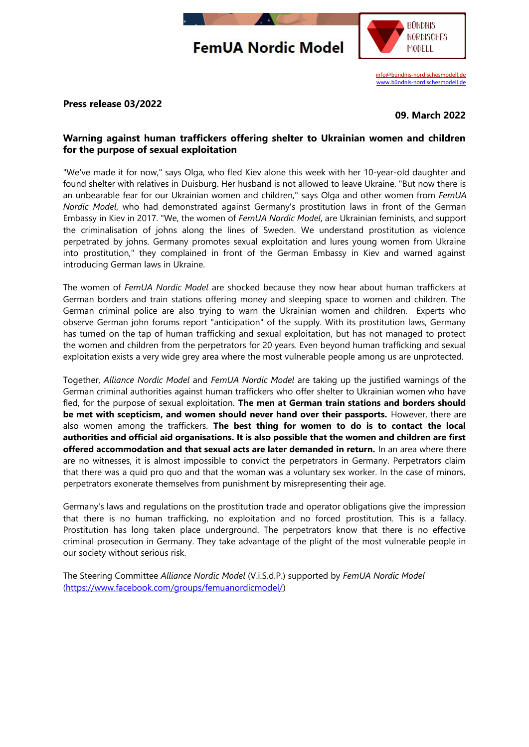## **FemUA Nordic Model**



[info@bündnis-nordischesmodell.de](mailto:info@b%C3%BCndnis-nordischesmodell.de) [www.bündnis-nordischesmodell.de](http://www.xn--bndnis-nordischesmodell-cpc.de/)

## **Press release 03/2022**

**09. March 2022**

## **Warning against human traffickers offering shelter to Ukrainian women and children for the purpose of sexual exploitation**

"We've made it for now," says Olga, who fled Kiev alone this week with her 10-year-old daughter and found shelter with relatives in Duisburg. Her husband is not allowed to leave Ukraine. "But now there is an unbearable fear for our Ukrainian women and children," says Olga and other women from *FemUA Nordic Model*, who had demonstrated against Germany's prostitution laws in front of the German Embassy in Kiev in 2017. "We, the women of *FemUA Nordic Model*, are Ukrainian feminists, and support the criminalisation of johns along the lines of Sweden. We understand prostitution as violence perpetrated by johns. Germany promotes sexual exploitation and lures young women from Ukraine into prostitution," they complained in front of the German Embassy in Kiev and warned against introducing German laws in Ukraine.

The women of *FemUA Nordic Model* are shocked because they now hear about human traffickers at German borders and train stations offering money and sleeping space to women and children. The German criminal police are also trying to warn the Ukrainian women and children. Experts who observe German john forums report "anticipation" of the supply. With its prostitution laws, Germany has turned on the tap of human trafficking and sexual exploitation, but has not managed to protect the women and children from the perpetrators for 20 years. Even beyond human trafficking and sexual exploitation exists a very wide grey area where the most vulnerable people among us are unprotected.

Together, *Alliance Nordic Model* and *FemUA Nordic Model* are taking up the justified warnings of the German criminal authorities against human traffickers who offer shelter to Ukrainian women who have fled, for the purpose of sexual exploitation. **The men at German train stations and borders should be met with scepticism, and women should never hand over their passports.** However, there are also women among the traffickers. **The best thing for women to do is to contact the local authorities and official aid organisations. It is also possible that the women and children are first offered accommodation and that sexual acts are later demanded in return.** In an area where there are no witnesses, it is almost impossible to convict the perpetrators in Germany. Perpetrators claim that there was a quid pro quo and that the woman was a voluntary sex worker. In the case of minors, perpetrators exonerate themselves from punishment by misrepresenting their age.

Germany's laws and regulations on the prostitution trade and operator obligations give the impression that there is no human trafficking, no exploitation and no forced prostitution. This is a fallacy. Prostitution has long taken place underground. The perpetrators know that there is no effective criminal prosecution in Germany. They take advantage of the plight of the most vulnerable people in our society without serious risk.

The Steering Committee *Alliance Nordic Model* (V.i.S.d.P.) supported by *FemUA Nordic Model* [\(https://www.facebook.com/groups/femuanordicmodel/\)](https://www.facebook.com/groups/femuanordicmodel/)